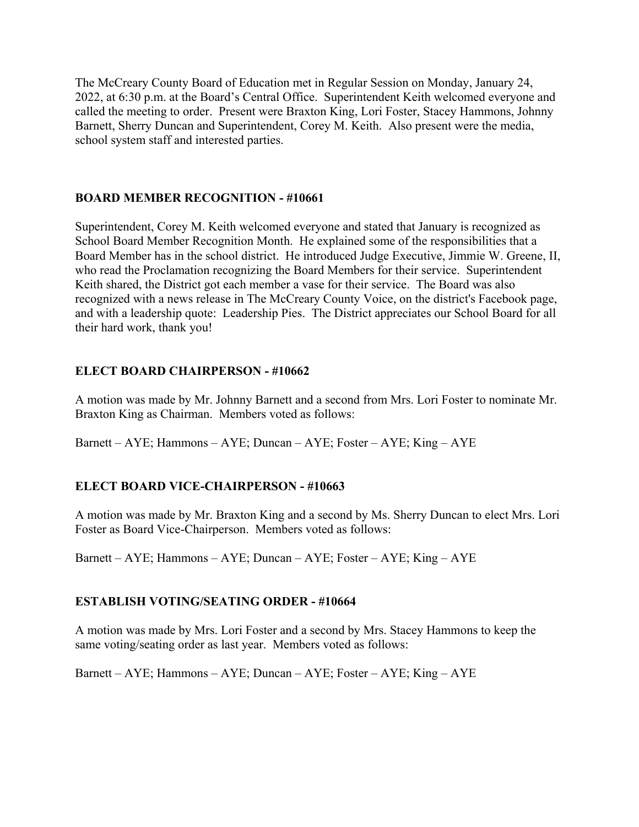The McCreary County Board of Education met in Regular Session on Monday, January 24, 2022, at 6:30 p.m. at the Board's Central Office. Superintendent Keith welcomed everyone and called the meeting to order. Present were Braxton King, Lori Foster, Stacey Hammons, Johnny Barnett, Sherry Duncan and Superintendent, Corey M. Keith. Also present were the media, school system staff and interested parties.

### **BOARD MEMBER RECOGNITION - #10661**

Superintendent, Corey M. Keith welcomed everyone and stated that January is recognized as School Board Member Recognition Month. He explained some of the responsibilities that a Board Member has in the school district. He introduced Judge Executive, Jimmie W. Greene, II, who read the Proclamation recognizing the Board Members for their service. Superintendent Keith shared, the District got each member a vase for their service. The Board was also recognized with a news release in The McCreary County Voice, on the district's Facebook page, and with a leadership quote: Leadership Pies. The District appreciates our School Board for all their hard work, thank you!

### **ELECT BOARD CHAIRPERSON - #10662**

A motion was made by Mr. Johnny Barnett and a second from Mrs. Lori Foster to nominate Mr. Braxton King as Chairman. Members voted as follows:

Barnett – AYE; Hammons – AYE; Duncan – AYE; Foster – AYE; King – AYE

### **ELECT BOARD VICE-CHAIRPERSON - #10663**

A motion was made by Mr. Braxton King and a second by Ms. Sherry Duncan to elect Mrs. Lori Foster as Board Vice-Chairperson. Members voted as follows:

Barnett – AYE; Hammons – AYE; Duncan – AYE; Foster – AYE; King – AYE

#### **ESTABLISH VOTING/SEATING ORDER - #10664**

A motion was made by Mrs. Lori Foster and a second by Mrs. Stacey Hammons to keep the same voting/seating order as last year. Members voted as follows:

Barnett – AYE; Hammons – AYE; Duncan – AYE; Foster – AYE; King – AYE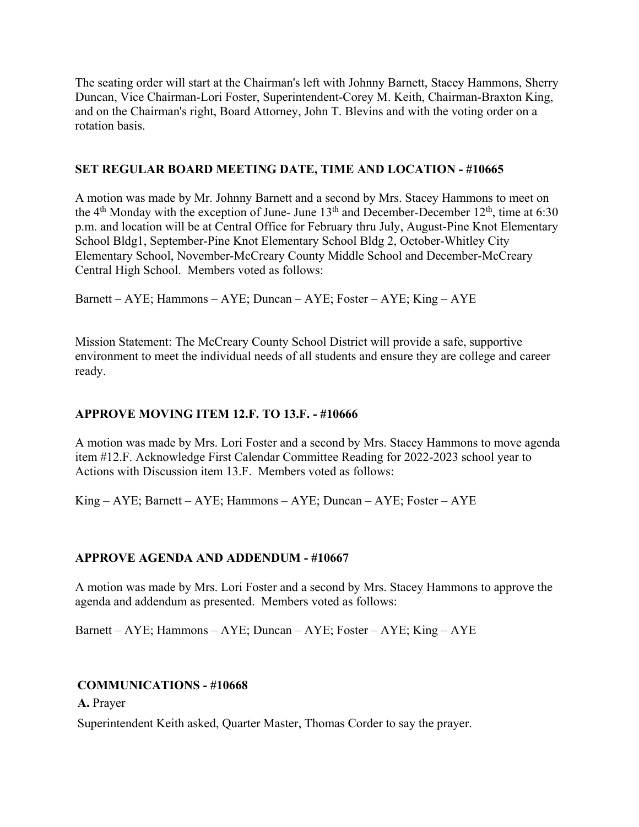The seating order will start at the Chairman's left with Johnny Barnett, Stacey Hammons, Sherry Duncan, Vice Chairman-Lori Foster, Superintendent-Corey M. Keith, Chairman-Braxton King, and on the Chairman's right, Board Attorney, John T. Blevins and with the voting order on a rotation basis.

### **SET REGULAR BOARD MEETING DATE, TIME AND LOCATION - #10665**

A motion was made by Mr. Johnny Barnett and a second by Mrs. Stacey Hammons to meet on the  $4<sup>th</sup>$  Monday with the exception of June- June  $13<sup>th</sup>$  and December-December  $12<sup>th</sup>$ , time at 6:30 p.m. and location will be at Central Office for February thru July, August-Pine Knot Elementary School Bldg1, September-Pine Knot Elementary School Bldg 2, October-Whitley City Elementary School, November-McCreary County Middle School and December-McCreary Central High School. Members voted as follows:

Barnett – AYE; Hammons – AYE; Duncan – AYE; Foster – AYE; King – AYE

Mission Statement: The McCreary County School District will provide a safe, supportive environment to meet the individual needs of all students and ensure they are college and career ready.

### **APPROVE MOVING ITEM 12.F. TO 13.F. - #10666**

A motion was made by Mrs. Lori Foster and a second by Mrs. Stacey Hammons to move agenda item #12.F. Acknowledge First Calendar Committee Reading for 2022-2023 school year to Actions with Discussion item 13.F. Members voted as follows:

King – AYE; Barnett – AYE; Hammons – AYE; Duncan – AYE; Foster – AYE

### **APPROVE AGENDA AND ADDENDUM - #10667**

A motion was made by Mrs. Lori Foster and a second by Mrs. Stacey Hammons to approve the agenda and addendum as presented. Members voted as follows:

Barnett – AYE; Hammons – AYE; Duncan – AYE; Foster – AYE; King – AYE

#### **COMMUNICATIONS - #10668**

**A.** Prayer

Superintendent Keith asked, Quarter Master, Thomas Corder to say the prayer.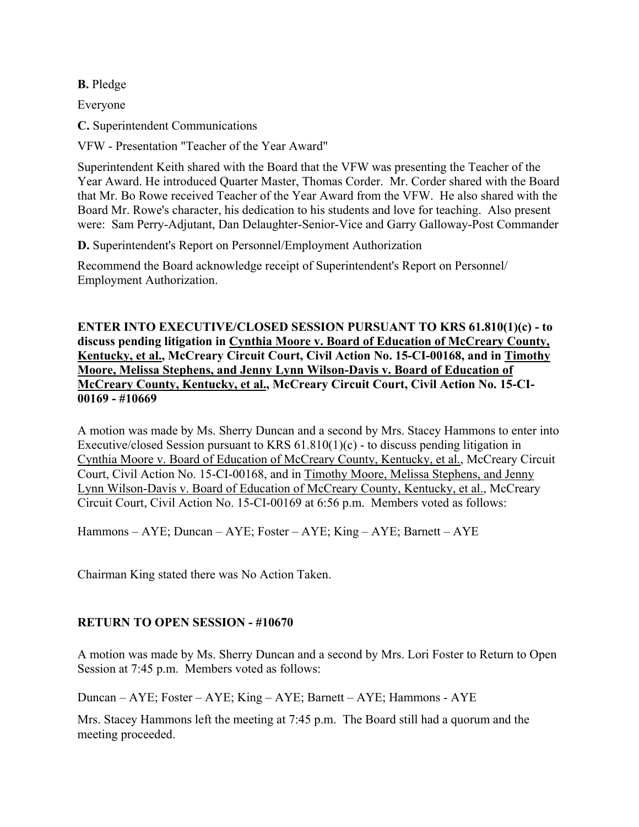**B.** Pledge

Everyone

**C.** Superintendent Communications

VFW - Presentation "Teacher of the Year Award"

Superintendent Keith shared with the Board that the VFW was presenting the Teacher of the Year Award. He introduced Quarter Master, Thomas Corder. Mr. Corder shared with the Board that Mr. Bo Rowe received Teacher of the Year Award from the VFW. He also shared with the Board Mr. Rowe's character, his dedication to his students and love for teaching. Also present were: Sam Perry-Adjutant, Dan Delaughter-Senior-Vice and Garry Galloway-Post Commander

**D.** Superintendent's Report on Personnel/Employment Authorization

Recommend the Board acknowledge receipt of Superintendent's Report on Personnel/ Employment Authorization.

**ENTER INTO EXECUTIVE/CLOSED SESSION PURSUANT TO KRS 61.810(1)(c) - to discuss pending litigation in Cynthia Moore v. Board of Education of McCreary County, Kentucky, et al., McCreary Circuit Court, Civil Action No. 15-CI-00168, and in Timothy Moore, Melissa Stephens, and Jenny Lynn Wilson-Davis v. Board of Education of McCreary County, Kentucky, et al., McCreary Circuit Court, Civil Action No. 15-CI-00169 - #10669** 

A motion was made by Ms. Sherry Duncan and a second by Mrs. Stacey Hammons to enter into Executive/closed Session pursuant to KRS  $61.810(1)(c)$  - to discuss pending litigation in Cynthia Moore v. Board of Education of McCreary County, Kentucky, et al., McCreary Circuit Court, Civil Action No. 15-CI-00168, and in Timothy Moore, Melissa Stephens, and Jenny Lynn Wilson-Davis v. Board of Education of McCreary County, Kentucky, et al., McCreary Circuit Court, Civil Action No. 15-CI-00169 at 6:56 p.m. Members voted as follows:

Hammons – AYE; Duncan – AYE; Foster – AYE; King – AYE; Barnett – AYE

Chairman King stated there was No Action Taken.

#### **RETURN TO OPEN SESSION - #10670**

A motion was made by Ms. Sherry Duncan and a second by Mrs. Lori Foster to Return to Open Session at 7:45 p.m. Members voted as follows:

Duncan – AYE; Foster – AYE; King – AYE; Barnett – AYE; Hammons - AYE

Mrs. Stacey Hammons left the meeting at 7:45 p.m. The Board still had a quorum and the meeting proceeded.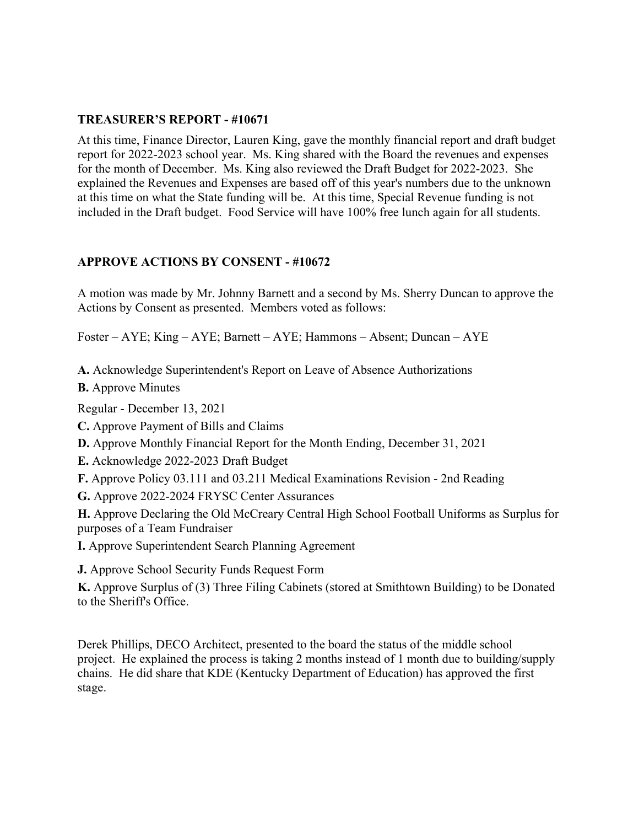### **TREASURER'S REPORT - #10671**

At this time, Finance Director, Lauren King, gave the monthly financial report and draft budget report for 2022-2023 school year. Ms. King shared with the Board the revenues and expenses for the month of December. Ms. King also reviewed the Draft Budget for 2022-2023. She explained the Revenues and Expenses are based off of this year's numbers due to the unknown at this time on what the State funding will be. At this time, Special Revenue funding is not included in the Draft budget. Food Service will have 100% free lunch again for all students.

### **APPROVE ACTIONS BY CONSENT - #10672**

A motion was made by Mr. Johnny Barnett and a second by Ms. Sherry Duncan to approve the Actions by Consent as presented. Members voted as follows:

Foster – AYE; King – AYE; Barnett – AYE; Hammons – Absent; Duncan – AYE

**A.** Acknowledge Superintendent's Report on Leave of Absence Authorizations

**B.** Approve Minutes

Regular - December 13, 2021

**C.** Approve Payment of Bills and Claims

- **D.** Approve Monthly Financial Report for the Month Ending, December 31, 2021
- **E.** Acknowledge 2022-2023 Draft Budget
- **F.** Approve Policy 03.111 and 03.211 Medical Examinations Revision 2nd Reading

**G.** Approve 2022-2024 FRYSC Center Assurances

**H.** Approve Declaring the Old McCreary Central High School Football Uniforms as Surplus for purposes of a Team Fundraiser

- **I.** Approve Superintendent Search Planning Agreement
- **J.** Approve School Security Funds Request Form

**K.** Approve Surplus of (3) Three Filing Cabinets (stored at Smithtown Building) to be Donated to the Sheriff's Office.

Derek Phillips, DECO Architect, presented to the board the status of the middle school project. He explained the process is taking 2 months instead of 1 month due to building/supply chains. He did share that KDE (Kentucky Department of Education) has approved the first stage.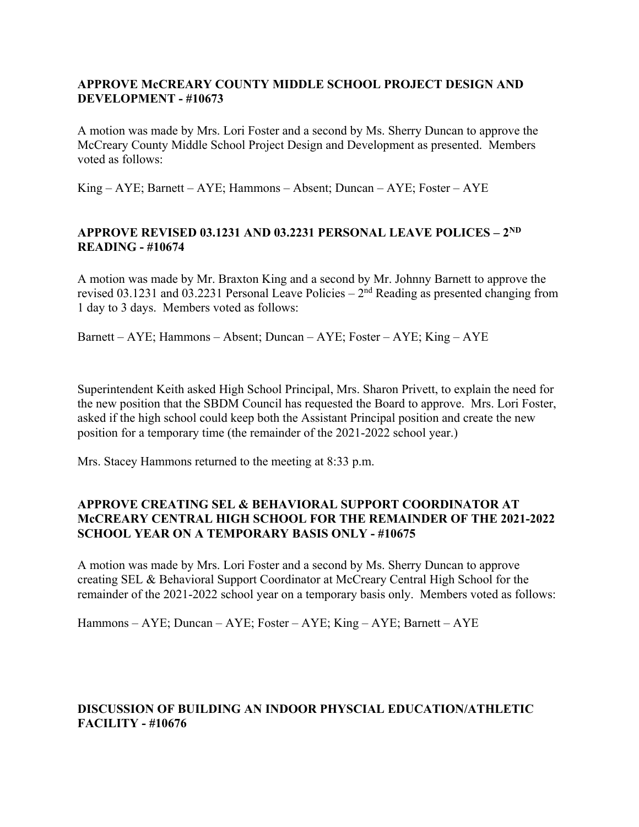### **APPROVE McCREARY COUNTY MIDDLE SCHOOL PROJECT DESIGN AND DEVELOPMENT - #10673**

A motion was made by Mrs. Lori Foster and a second by Ms. Sherry Duncan to approve the McCreary County Middle School Project Design and Development as presented. Members voted as follows:

King – AYE; Barnett – AYE; Hammons – Absent; Duncan – AYE; Foster – AYE

### **APPROVE REVISED 03.1231 AND 03.2231 PERSONAL LEAVE POLICES – 2ND READING - #10674**

A motion was made by Mr. Braxton King and a second by Mr. Johnny Barnett to approve the revised 03.1231 and 03.2231 Personal Leave Policies –  $2<sup>nd</sup>$  Reading as presented changing from 1 day to 3 days. Members voted as follows:

Barnett – AYE; Hammons – Absent; Duncan – AYE; Foster – AYE; King – AYE

Superintendent Keith asked High School Principal, Mrs. Sharon Privett, to explain the need for the new position that the SBDM Council has requested the Board to approve. Mrs. Lori Foster, asked if the high school could keep both the Assistant Principal position and create the new position for a temporary time (the remainder of the 2021-2022 school year.)

Mrs. Stacey Hammons returned to the meeting at 8:33 p.m.

### **APPROVE CREATING SEL & BEHAVIORAL SUPPORT COORDINATOR AT McCREARY CENTRAL HIGH SCHOOL FOR THE REMAINDER OF THE 2021-2022 SCHOOL YEAR ON A TEMPORARY BASIS ONLY - #10675**

A motion was made by Mrs. Lori Foster and a second by Ms. Sherry Duncan to approve creating SEL & Behavioral Support Coordinator at McCreary Central High School for the remainder of the 2021-2022 school year on a temporary basis only. Members voted as follows:

Hammons – AYE; Duncan – AYE; Foster – AYE; King – AYE; Barnett – AYE

### **DISCUSSION OF BUILDING AN INDOOR PHYSCIAL EDUCATION/ATHLETIC FACILITY - #10676**